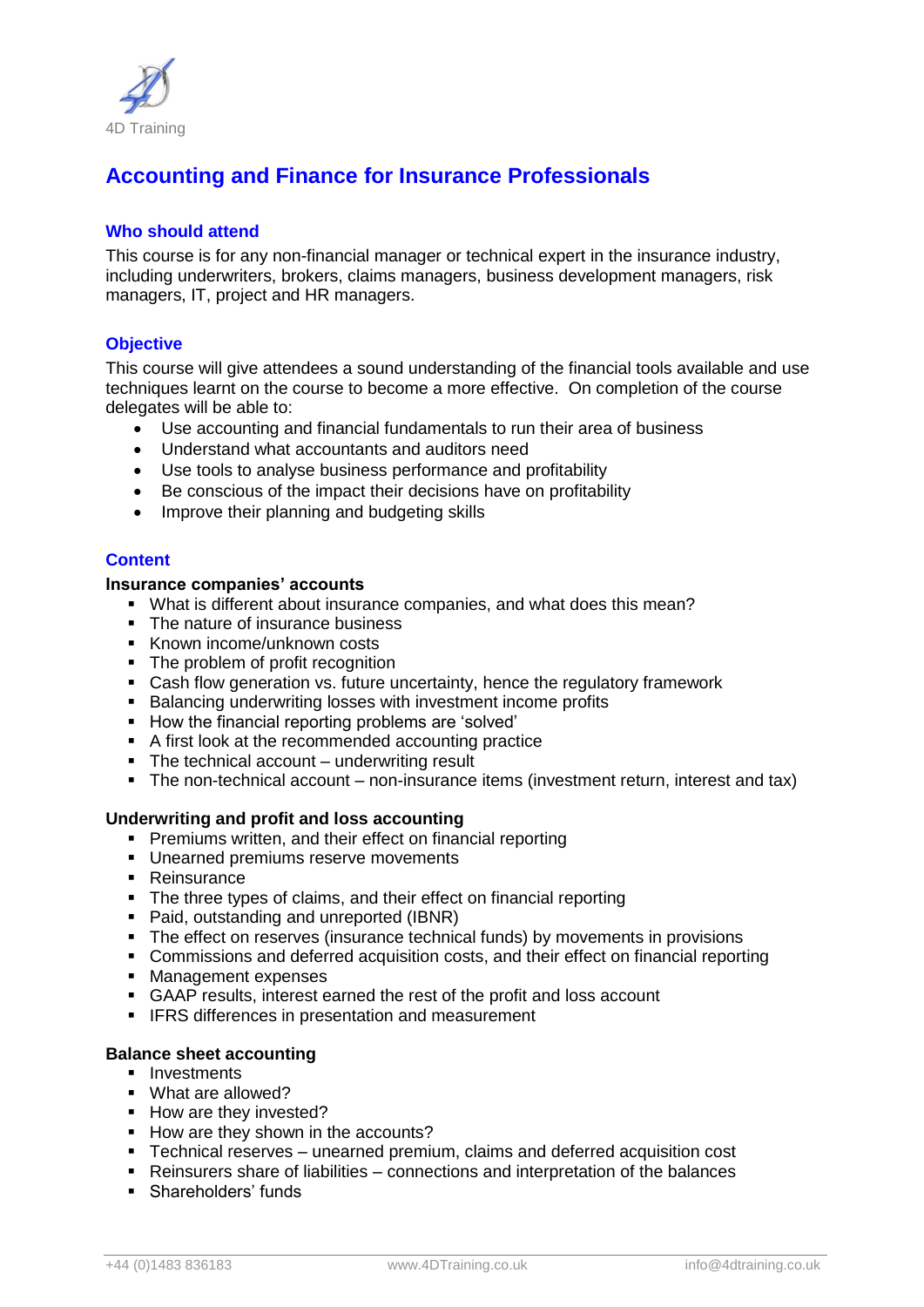

# **Accounting and Finance for Insurance Professionals**

## **Who should attend**

This course is for any non-financial manager or technical expert in the insurance industry, including underwriters, brokers, claims managers, business development managers, risk managers, IT, project and HR managers.

# **Objective**

This course will give attendees a sound understanding of the financial tools available and use techniques learnt on the course to become a more effective. On completion of the course delegates will be able to:

- Use accounting and financial fundamentals to run their area of business
- Understand what accountants and auditors need
- Use tools to analyse business performance and profitability
- Be conscious of the impact their decisions have on profitability
- Improve their planning and budgeting skills

# **Content**

#### **Insurance companies' accounts**

- What is different about insurance companies, and what does this mean?
- The nature of insurance business
- Known income/unknown costs
- The problem of profit recognition
- Cash flow generation vs. future uncertainty, hence the regulatory framework
- **Balancing underwriting losses with investment income profits**
- How the financial reporting problems are 'solved'
- A first look at the recommended accounting practice
- The technical account underwriting result
- The non-technical account non-insurance items (investment return, interest and tax)

#### **Underwriting and profit and loss accounting**

- Premiums written, and their effect on financial reporting
- Unearned premiums reserve movements
- Reinsurance
- The three types of claims, and their effect on financial reporting
- Paid, outstanding and unreported (IBNR)
- The effect on reserves (insurance technical funds) by movements in provisions
- Commissions and deferred acquisition costs, and their effect on financial reporting
- **Management expenses**
- GAAP results, interest earned the rest of the profit and loss account
- **IFRS differences in presentation and measurement**

### **Balance sheet accounting**

- **Investments**
- What are allowed?
- How are they invested?
- How are they shown in the accounts?
- Technical reserves unearned premium, claims and deferred acquisition cost
- Reinsurers share of liabilities connections and interpretation of the balances
- **Shareholders' funds**